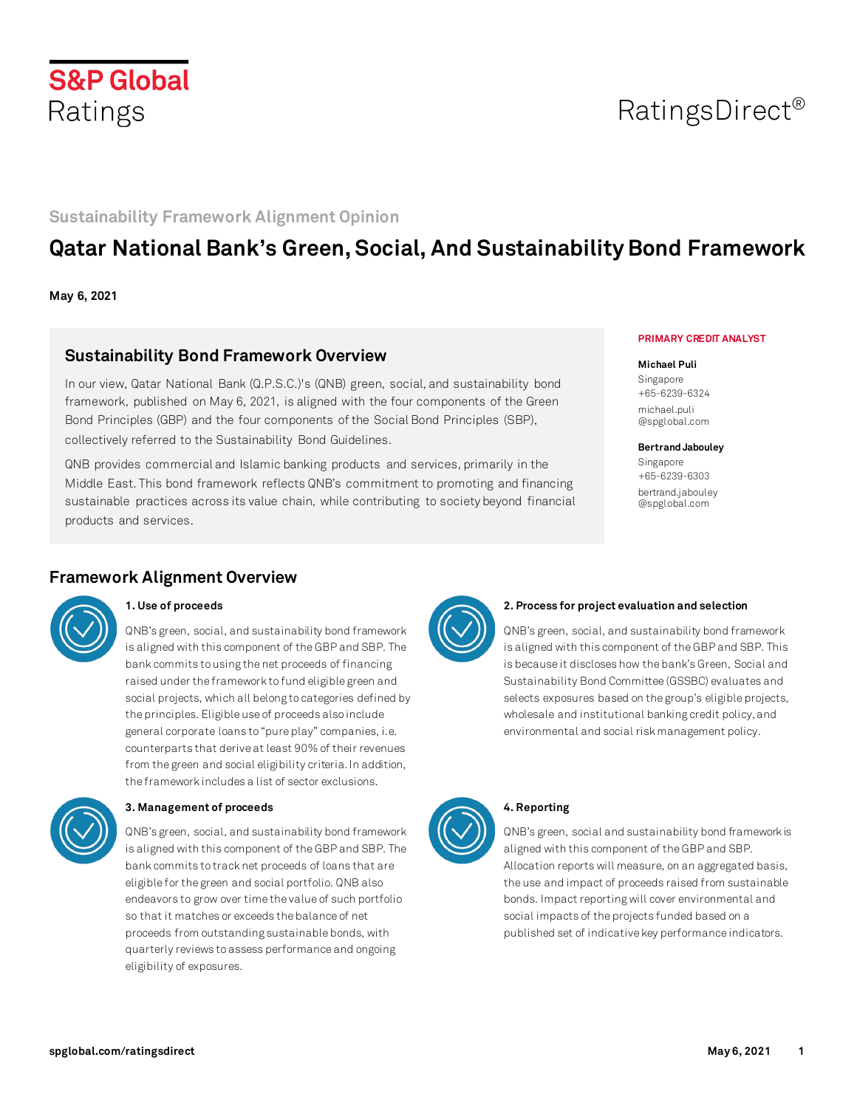

# RatingsDirect®

### **Sustainability Framework Alignment Opinion**

## **Qatar National Bank's Green, Social, And Sustainability Bond Framework**

**May 6, 2021**

### **Sustainability Bond Framework Overview**

In our view, Qatar National Bank (Q.P.S.C.)'s (QNB) green, social, and sustainability bond framework, published on May 6, 2021, is aligned with the four components of the Green Bond Principles (GBP) and the four components of the Social Bond Principles (SBP), collectively referred to the Sustainability Bond Guidelines.

QNB provides commercial and Islamic banking products and services, primarily in the Middle East. This bond framework reflects QNB's commitment to promoting and financing sustainable practices across its value chain, while contributing to society beyond financial products and services.

#### **PRIMARY CREDIT ANALYST**

#### **Michael Puli**

Singapore +65-6239-6324 michael.puli @spglobal.com

#### **Bertrand Jabouley**

Singapore +65-6239-6303 bertrand.jabouley @spglobal.com

### **Framework Alignment Overview**



### **1. Use of proceeds**

QNB's green, social, and sustainability bond framework is aligned with this component of the GBP and SBP. The bank commits to using the net proceeds of financing raised under the framework to fund eligible green and social projects, which all belong to categories defined by the principles. Eligible use of proceeds also include general corporate loans to "pure play" companies, i.e. counterparts that derive at least 90% of their revenues from the green and social eligibility criteria. In addition, the framework includes a list of sector exclusions.



### **3. Management of proceeds**

QNB's green, social, and sustainability bond framework is aligned with this component of the GBP and SBP. The bank commits to track net proceeds of loans that are eligible for the green and social portfolio. QNB also endeavors to grow over time the value of such portfolio so that it matches or exceeds the balance of net proceeds from outstanding sustainable bonds, with quarterly reviews to assess performance and ongoing eligibility of exposures.



#### **2. Process for project evaluation and selection**

QNB's green, social, and sustainability bond framework is aligned with this component of the GBP and SBP. This is because it discloses how the bank's Green, Social and Sustainability Bond Committee (GSSBC) evaluates and selects exposures based on the group's eligible projects, wholesale and institutional banking credit policy, and environmental and social risk management policy.



### **4. Reporting**

QNB's green, social and sustainability bond framework is aligned with this component of the GBP and SBP. Allocation reports will measure, on an aggregated basis, the use and impact of proceeds raised from sustainable bonds. Impact reporting will cover environmental and social impacts of the projects funded based on a published set of indicative key performance indicators.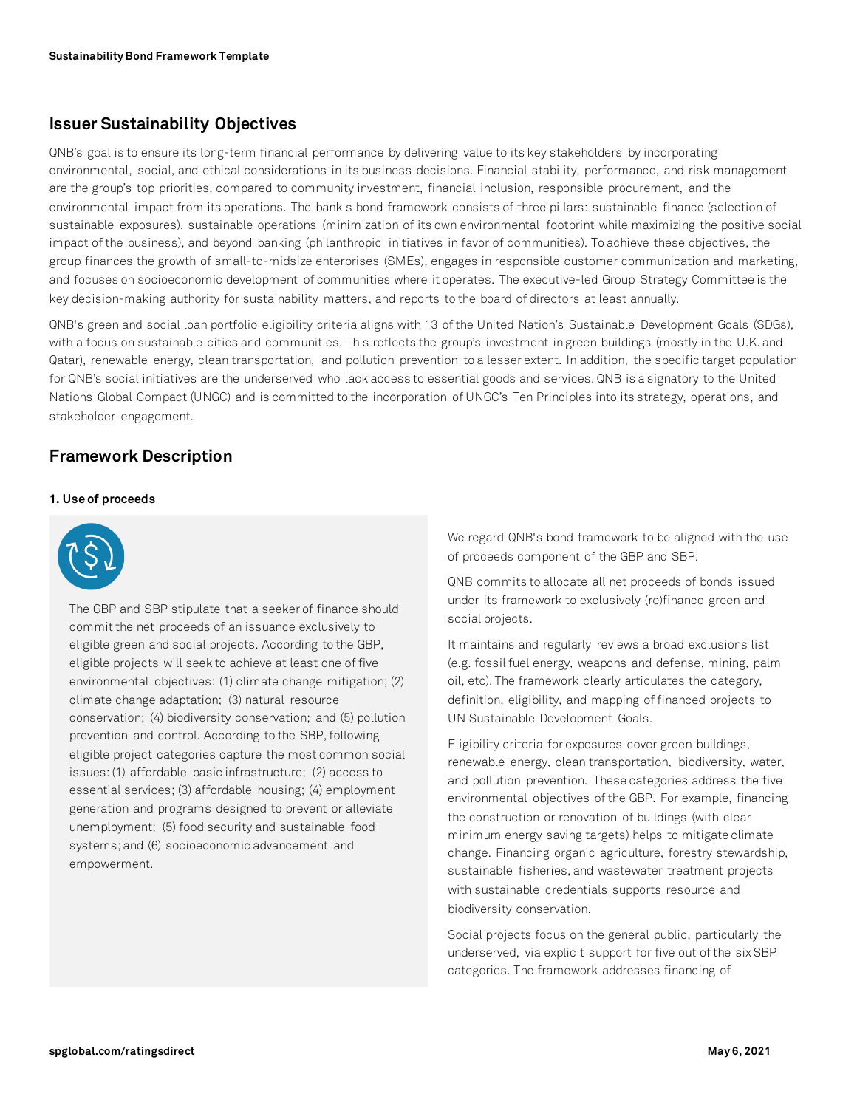### **Issuer Sustainability Objectives**

QNB's goal is to ensure its long-term financial performance by delivering value to its key stakeholders by incorporating environmental, social, and ethical considerations in its business decisions. Financial stability, performance, and risk management are the group's top priorities, compared to community investment, financial inclusion, responsible procurement, and the environmental impact from its operations. The bank's bond framework consists of three pillars: sustainable finance (selection of sustainable exposures), sustainable operations (minimization of its own environmental footprint while maximizing the positive social impact of the business), and beyond banking (philanthropic initiatives in favor of communities). To achieve these objectives, the group finances the growth of small-to-midsize enterprises (SMEs), engages in responsible customer communication and marketing, and focuses on socioeconomic development of communities where it operates. The executive-led Group Strategy Committee is the key decision-making authority for sustainability matters, and reports to the board of directors at least annually.

QNB's green and social loan portfolio eligibility criteria aligns with 13 of the United Nation's Sustainable Development Goals (SDGs), with a focus on sustainable cities and communities. This reflects the group's investment in green buildings (mostly in the U.K. and Qatar), renewable energy, clean transportation, and pollution prevention to a lesser extent. In addition, the specific target population for QNB's social initiatives are the underserved who lack access to essential goods and services. QNB is a signatory to the United Nations Global Compact (UNGC) and is committed to the incorporation of UNGC's Ten Principles into its strategy, operations, and stakeholder engagement.

### **Framework Description**

### **1. Use of proceeds**



The GBP and SBP stipulate that a seeker of finance should commit the net proceeds of an issuance exclusively to eligible green and social projects. According to the GBP, eligible projects will seek to achieve at least one of five environmental objectives: (1) climate change mitigation; (2) climate change adaptation; (3) natural resource conservation; (4) biodiversity conservation; and (5) pollution prevention and control. According to the SBP, following eligible project categories capture the most common social issues: (1) affordable basic infrastructure; (2) access to essential services; (3) affordable housing; (4) employment generation and programs designed to prevent or alleviate unemployment; (5) food security and sustainable food systems; and (6) socioeconomic advancement and empowerment.

We regard QNB's bond framework to be aligned with the use of proceeds component of the GBP and SBP.

QNB commits to allocate all net proceeds of bonds issued under its framework to exclusively (re)finance green and social projects.

It maintains and regularly reviews a broad exclusions list (e.g. fossil fuel energy, weapons and defense, mining, palm oil, etc). The framework clearly articulates the category, definition, eligibility, and mapping of financed projects to UN Sustainable Development Goals.

Eligibility criteria for exposures cover green buildings, renewable energy, clean transportation, biodiversity, water, and pollution prevention. These categories address the five environmental objectives of the GBP. For example, financing the construction or renovation of buildings (with clear minimum energy saving targets) helps to mitigate climate change. Financing organic agriculture, forestry stewardship, sustainable fisheries, and wastewater treatment projects with sustainable credentials supports resource and biodiversity conservation.

Social projects focus on the general public, particularly the underserved, via explicit support for five out of the six SBP categories. The framework addresses financing of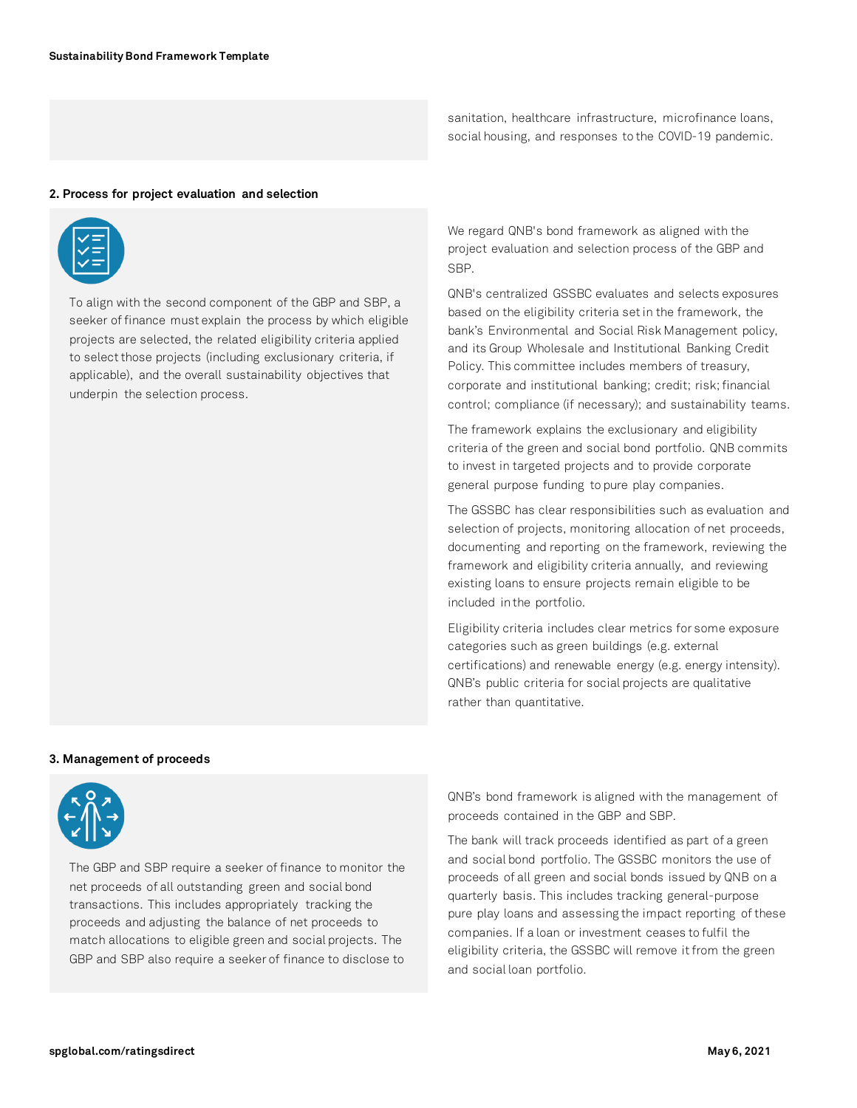sanitation, healthcare infrastructure, microfinance loans, social housing, and responses to the COVID-19 pandemic.

### **2. Process for project evaluation and selection**



To align with the second component of the GBP and SBP, a seeker of finance must explain the process by which eligible projects are selected, the related eligibility criteria applied to select those projects (including exclusionary criteria, if applicable), and the overall sustainability objectives that underpin the selection process.

We regard QNB's bond framework as aligned with the project evaluation and selection process of the GBP and SBP.

QNB's centralized GSSBC evaluates and selects exposures based on the eligibility criteria set in the framework, the bank's Environmental and Social Risk Management policy, and its Group Wholesale and Institutional Banking Credit Policy. This committee includes members of treasury, corporate and institutional banking; credit; risk;financial control; compliance (if necessary); and sustainability teams.

The framework explains the exclusionary and eligibility criteria of the green and social bond portfolio. QNB commits to invest in targeted projects and to provide corporate general purpose funding to pure play companies.

The GSSBC has clear responsibilities such as evaluation and selection of projects, monitoring allocation of net proceeds, documenting and reporting on the framework, reviewing the framework and eligibility criteria annually, and reviewing existing loans to ensure projects remain eligible to be included in the portfolio.

Eligibility criteria includes clear metrics for some exposure categories such as green buildings (e.g. external certifications) and renewable energy (e.g. energy intensity). QNB's public criteria for social projects are qualitative rather than quantitative.

#### **3. Management of proceeds**



The GBP and SBP require a seeker of finance to monitor the net proceeds of all outstanding green and social bond transactions. This includes appropriately tracking the proceeds and adjusting the balance of net proceeds to match allocations to eligible green and social projects. The GBP and SBP also require a seeker of finance to disclose to

QNB's bond framework is aligned with the management of proceeds contained in the GBP and SBP.

The bank will track proceeds identified as part of a green and social bond portfolio. The GSSBC monitors the use of proceeds of all green and social bonds issued by QNB on a quarterly basis. This includes tracking general-purpose pure play loans and assessing the impact reporting of these companies. If a loan or investment ceases to fulfil the eligibility criteria, the GSSBC will remove it from the green and social loan portfolio.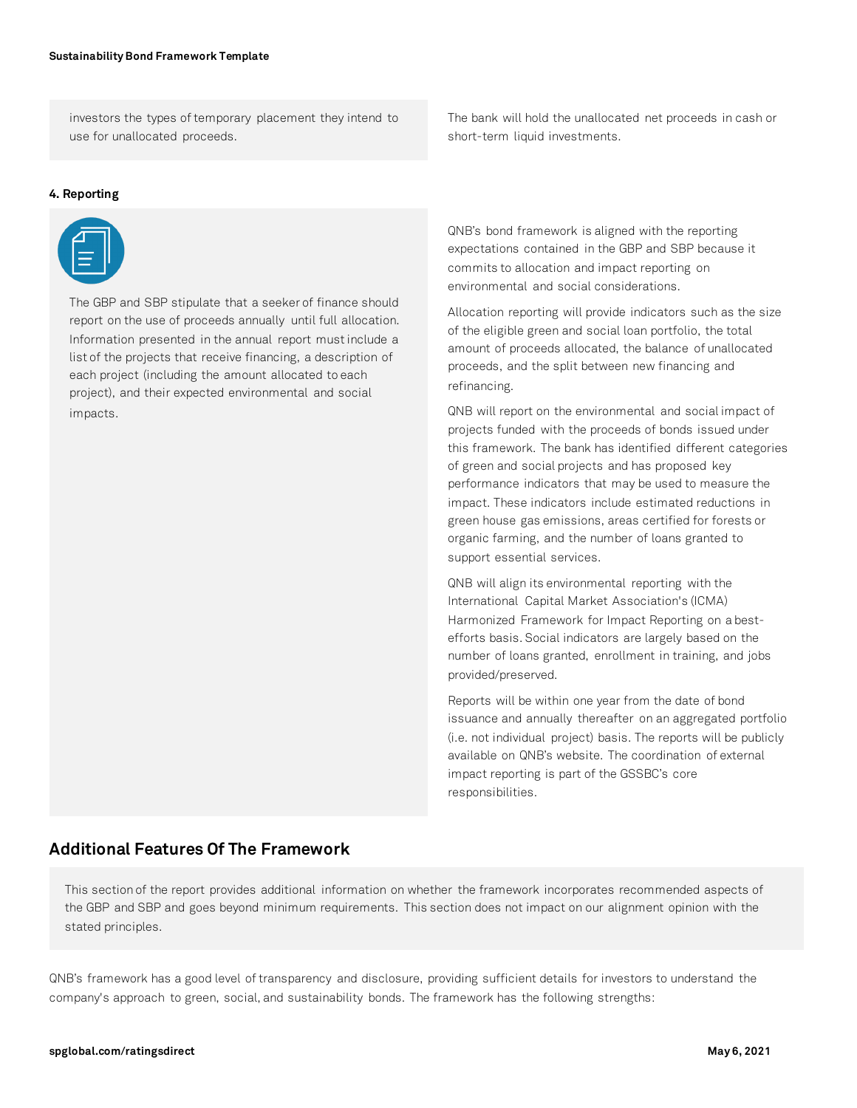investors the types of temporary placement they intend to use for unallocated proceeds.

#### **4. Reporting**



The GBP and SBP stipulate that a seeker of finance should report on the use of proceeds annually until full allocation. Information presented in the annual report must include a list of the projects that receive financing, a description of each project (including the amount allocated to each project), and their expected environmental and social impacts.

The bank will hold the unallocated net proceeds in cash or short-term liquid investments.

QNB's bond framework is aligned with the reporting expectations contained in the GBP and SBP because it commits to allocation and impact reporting on environmental and social considerations.

Allocation reporting will provide indicators such as the size of the eligible green and social loan portfolio, the total amount of proceeds allocated, the balance of unallocated proceeds, and the split between new financing and refinancing.

QNB will report on the environmental and social impact of projects funded with the proceeds of bonds issued under this framework. The bank has identified different categories of green and social projects and has proposed key performance indicators that may be used to measure the impact. These indicators include estimated reductions in green house gas emissions, areas certified for forests or organic farming, and the number of loans granted to support essential services.

QNB will align its environmental reporting with the International Capital Market Association's (ICMA) Harmonized Framework for Impact Reporting on a bestefforts basis. Social indicators are largely based on the number of loans granted, enrollment in training, and jobs provided/preserved.

Reports will be within one year from the date of bond issuance and annually thereafter on an aggregated portfolio (i.e. not individual project) basis. The reports will be publicly available on QNB's website. The coordination of external impact reporting is part of the GSSBC's core responsibilities.

### **Additional Features Of The Framework**

This section of the report provides additional information on whether the framework incorporates recommended aspects of the GBP and SBP and goes beyond minimum requirements. This section does not impact on our alignment opinion with the stated principles.

QNB's framework has a good level of transparency and disclosure, providing sufficient details for investors to understand the company's approach to green, social, and sustainability bonds. The framework has the following strengths: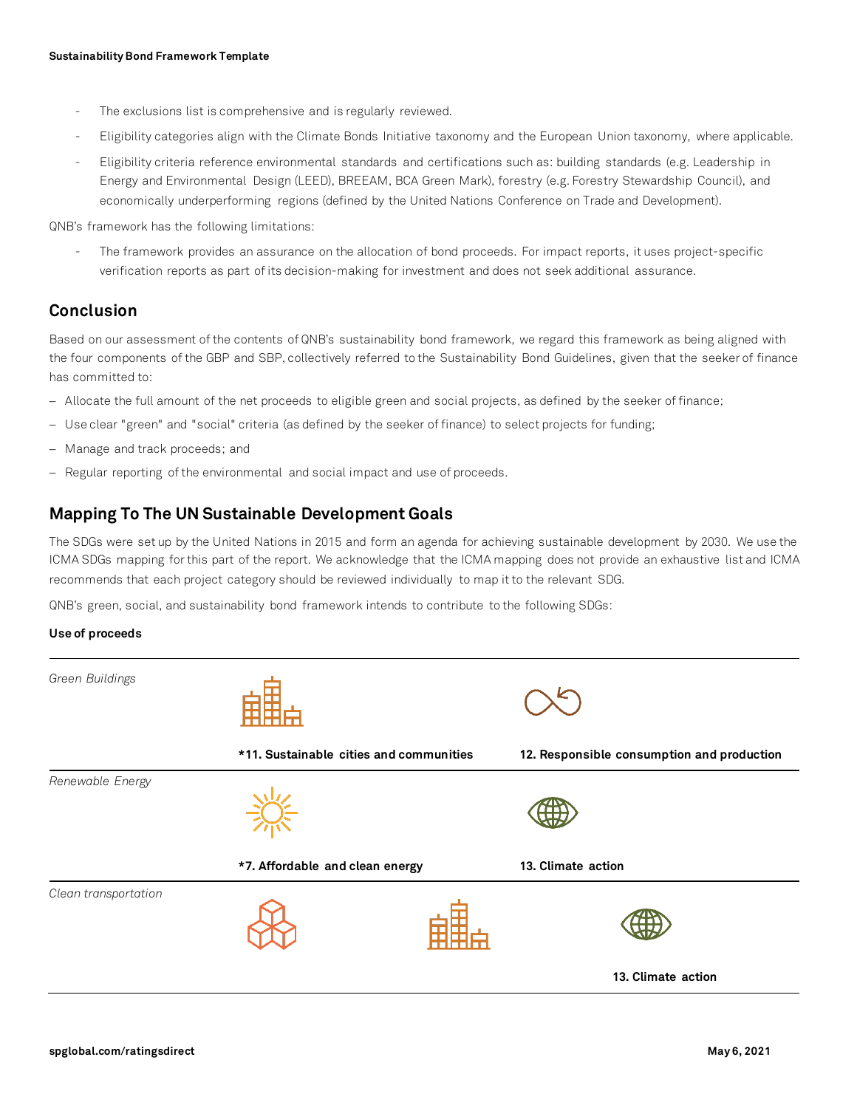- The exclusions list is comprehensive and is regularly reviewed.
- Eligibility categories align with the Climate Bonds Initiative taxonomy and the European Union taxonomy, where applicable.
- Eligibility criteria reference environmental standards and certifications such as: building standards (e.g. Leadership in Energy and Environmental Design (LEED), BREEAM, BCA Green Mark), forestry (e.g. Forestry Stewardship Council), and economically underperforming regions (defined by the United Nations Conference on Trade and Development).

QNB's framework has the following limitations:

The framework provides an assurance on the allocation of bond proceeds. For impact reports, it uses project-specific verification reports as part of its decision-making for investment and does not seek additional assurance.

### **Conclusion**

Based on our assessment of the contents of QNB's sustainability bond framework, we regard this framework as being aligned with the four components of the GBP and SBP, collectively referred to the Sustainability Bond Guidelines, given that the seeker of finance has committed to:

- − Allocate the full amount of the net proceeds to eligible green and social projects, as defined by the seeker of finance;
- − Use clear "green" and "social" criteria (as defined by the seeker of finance) to select projects for funding;
- − Manage and track proceeds; and
- − Regular reporting of the environmental and social impact and use of proceeds.

### **Mapping To The UN Sustainable Development Goals**

The SDGs were set up by the United Nations in 2015 and form an agenda for achieving sustainable development by 2030. We use the ICMA SDGs mapping for this part of the report. We acknowledge that the ICMA mapping does not provide an exhaustive list and ICMA recommends that each project category should be reviewed individually to map it to the relevant SDG.

QNB's green, social, and sustainability bond framework intends to contribute to the following SDGs:

### **Use of proceeds**

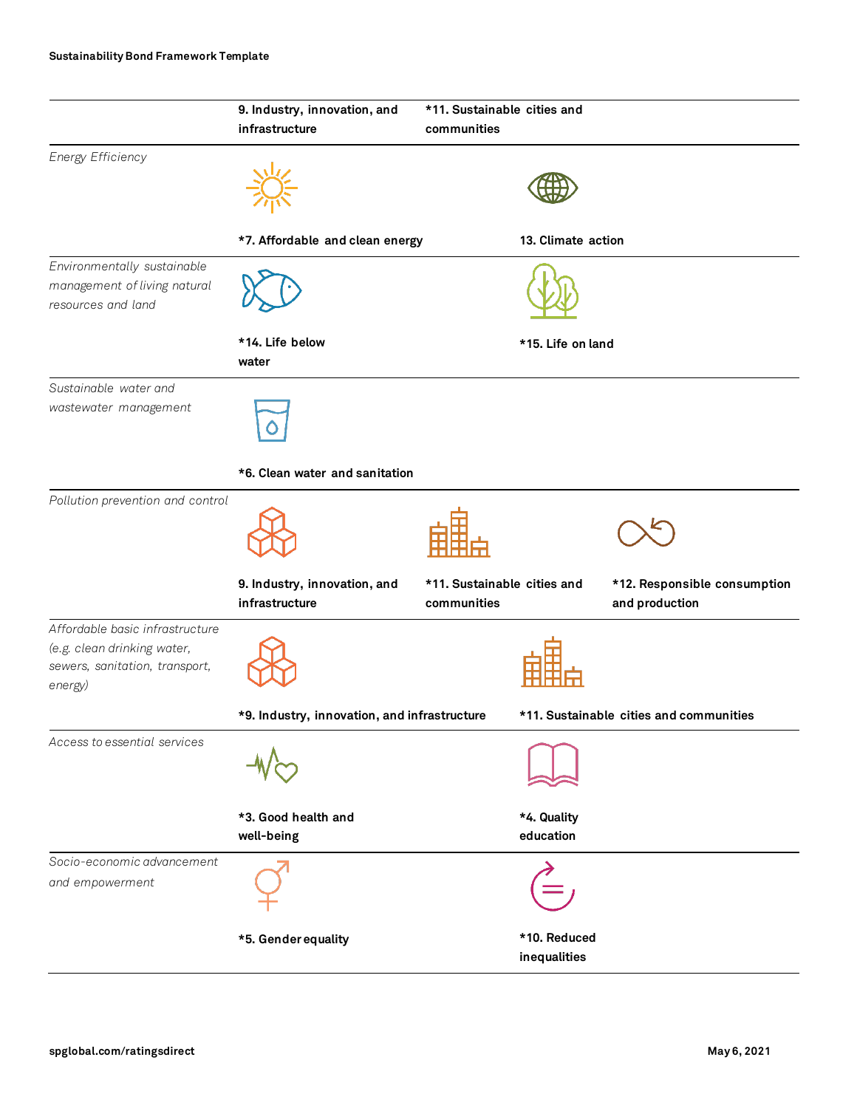### **Sustainability Bond Framework Template**

|                                                                                                             | 9. Industry, innovation, and<br>infrastructure | *11. Sustainable cities and<br>communities |                                                |
|-------------------------------------------------------------------------------------------------------------|------------------------------------------------|--------------------------------------------|------------------------------------------------|
| Energy Efficiency                                                                                           |                                                |                                            |                                                |
|                                                                                                             | *7. Affordable and clean energy                | 13. Climate action                         |                                                |
| Environmentally sustainable<br>management of living natural<br>resources and land                           |                                                |                                            |                                                |
|                                                                                                             | *14. Life below<br>water                       | *15. Life on land                          |                                                |
| Sustainable water and<br>wastewater management                                                              |                                                |                                            |                                                |
|                                                                                                             | *6. Clean water and sanitation                 |                                            |                                                |
| Pollution prevention and control                                                                            |                                                |                                            |                                                |
|                                                                                                             | 9. Industry, innovation, and<br>infrastructure | *11. Sustainable cities and<br>communities | *12. Responsible consumption<br>and production |
| Affordable basic infrastructure<br>(e.g. clean drinking water,<br>sewers, sanitation, transport,<br>energy) | *9. Industry, innovation, and infrastructure   |                                            | *11. Sustainable cities and communities        |
| Access to essential services                                                                                |                                                |                                            |                                                |
|                                                                                                             | *3. Good health and<br>well-being              | *4. Quality<br>education                   |                                                |
| Socio-economic advancement<br>and empowerment                                                               |                                                |                                            |                                                |
|                                                                                                             | *5. Gender equality                            | *10. Reduced<br>inequalities               |                                                |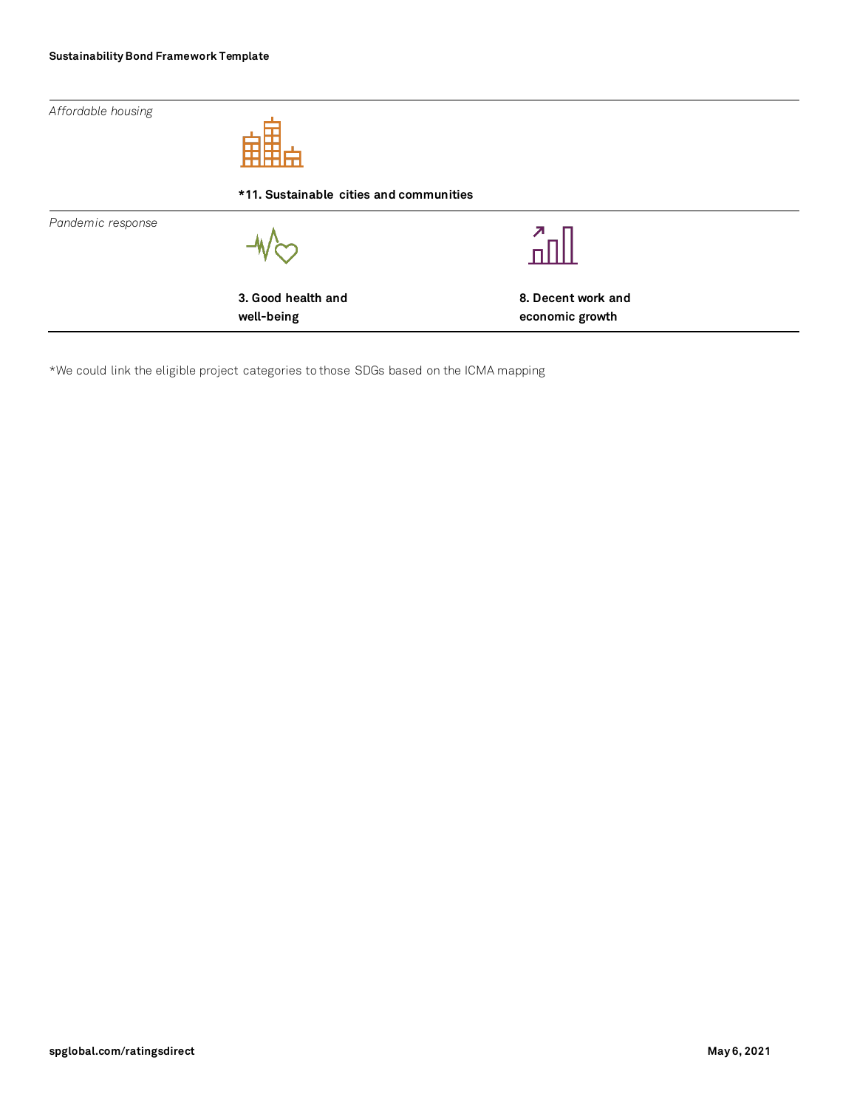*Affordable housing*



**\*11. Sustainable cities and communities** *Pandemic response*  $\sqrt{2}$ **3. Good health and 8. Decent work and well-being economic growth**

\*We could link the eligible project categories to those SDGs based on the ICMA mapping